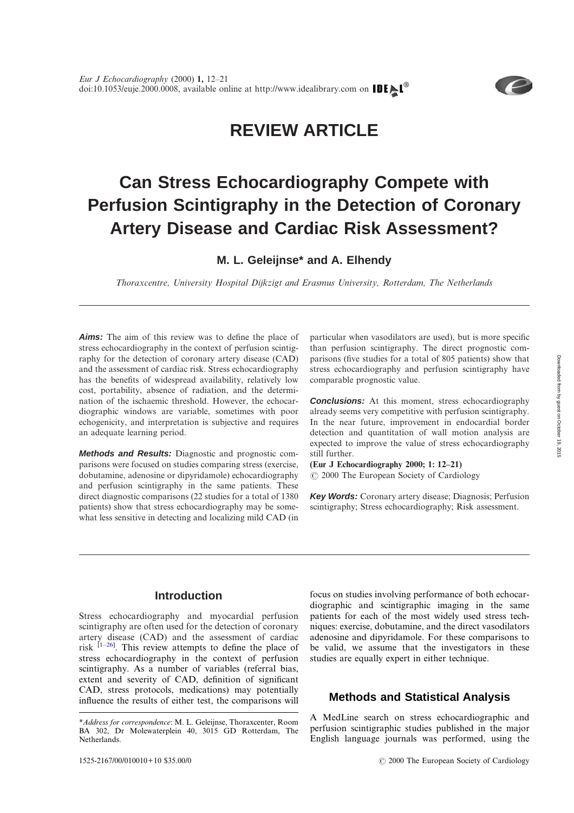## **REVIEW ARTICLE**

# **Can Stress Echocardiography Compete with Perfusion Scintigraphy in the Detection of Coronary Artery Disease and Cardiac Risk Assessment?**

**M. L. Geleijnse\* and A. Elhendy**

*Thoraxcentre, University Hospital Dijkzigt and Erasmus University, Rotterdam, The Netherlands*

*Aims:* The aim of this review was to define the place of stress echocardiography in the context of perfusion scintigraphy for the detection of coronary artery disease (CAD) and the assessment of cardiac risk. Stress echocardiography has the benefits of widespread availability, relatively low cost, portability, absence of radiation, and the determination of the ischaemic threshold. However, the echocardiographic windows are variable, sometimes with poor echogenicity, and interpretation is subjective and requires an adequate learning period.

*Methods and Results:* Diagnostic and prognostic comparisons were focused on studies comparing stress (exercise, dobutamine, adenosine or dipyridamole) echocardiography and perfusion scintigraphy in the same patients. These direct diagnostic comparisons (22 studies for a total of 1380 patients) show that stress echocardiography may be somewhat less sensitive in detecting and localizing mild CAD (in particular when vasodilators are used), but is more specific than perfusion scintigraphy. The direct prognostic comparisons (five studies for a total of 805 patients) show that stress echocardiography and perfusion scintigraphy have comparable prognostic value.

**Conclusions:** At this moment, stress echocardiography already seems very competitive with perfusion scintigraphy. In the near future, improvement in endocardial border detection and quantitation of wall motion analysis are expected to improve the value of stress echocardiography still further.

**(Eur J Echocardiography 2000; 1: 12–21)** 2000 The European Society of Cardiology

*Key Words:* Coronary artery disease; Diagnosis; Perfusion scintigraphy; Stress echocardiography; Risk assessment.

## **Introduction**

Stress echocardiography and myocardial perfusion scintigraphy are often used for the detection of coronary artery disease (CAD) and the assessment of cardiac risk  $[1-26]$  $[1-26]$ . This review attempts to define the place of stress echocardiography in the context of perfusion scintigraphy. As a number of variables (referral bias, extent and severity of CAD, definition of significant CAD, stress protocols, medications) may potentially influence the results of either test, the comparisons will

focus on studies involving performance of both echocardiographic and scintigraphic imaging in the same patients for each of the most widely used stress techniques: exercise, dobutamine, and the direct vasodilators adenosine and dipyridamole. For these comparisons to be valid, we assume that the investigators in these studies are equally expert in either technique.

## **Methods and Statistical Analysis**

A MedLine search on stress echocardiographic and perfusion scintigraphic studies published in the major English language journals was performed, using the



*<sup>\*</sup>Address for correspondence*: M. L. Geleijnse, Thoraxcenter, Room BA 302, Dr Molewaterplein 40, 3015 GD Rotterdam, The Netherlands.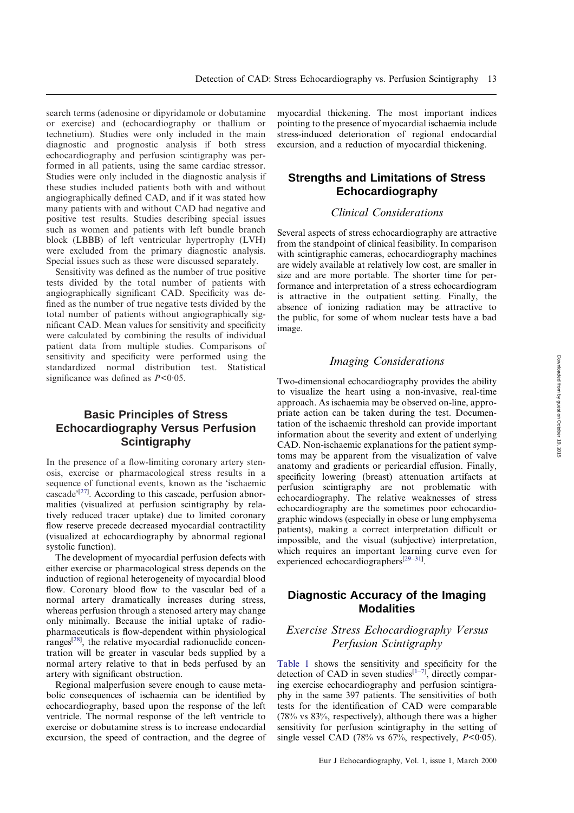search terms (adenosine or dipyridamole or dobutamine or exercise) and (echocardiography or thallium or technetium). Studies were only included in the main diagnostic and prognostic analysis if both stress echocardiography and perfusion scintigraphy was performed in all patients, using the same cardiac stressor. Studies were only included in the diagnostic analysis if these studies included patients both with and without angiographically defined CAD, and if it was stated how many patients with and without CAD had negative and positive test results. Studies describing special issues such as women and patients with left bundle branch block (LBBB) of left ventricular hypertrophy (LVH) were excluded from the primary diagnostic analysis. Special issues such as these were discussed separately.

Sensitivity was defined as the number of true positive tests divided by the total number of patients with angiographically significant CAD. Specificity was defined as the number of true negative tests divided by the total number of patients without angiographically significant CAD. Mean values for sensitivity and specificity were calculated by combining the results of individual patient data from multiple studies. Comparisons of sensitivity and specificity were performed using the standardized normal distribution test. Statistical significance was defined as *P*<0·05.

## **Basic Principles of Stress Echocardiography Versus Perfusion Scintigraphy**

In the presence of a flow-limiting coronary artery stenosis, exercise or pharmacological stress results in a sequence of functional events, known as the 'ischaemic cascade'<sup>[\[27\]](#page-7-2)</sup>. According to this cascade, perfusion abnormalities (visualized at perfusion scintigraphy by relatively reduced tracer uptake) due to limited coronary flow reserve precede decreased myocardial contractility (visualized at echocardiography by abnormal regional systolic function).

The development of myocardial perfusion defects with either exercise or pharmacological stress depends on the induction of regional heterogeneity of myocardial blood flow. Coronary blood flow to the vascular bed of a normal artery dramatically increases during stress, whereas perfusion through a stenosed artery may change only minimally. Because the initial uptake of radiopharmaceuticals is flow-dependent within physiological ranges<sup>[\[28\]](#page-8-0)</sup>, the relative myocardial radionuclide concentration will be greater in vascular beds supplied by a normal artery relative to that in beds perfused by an artery with significant obstruction.

Regional malperfusion severe enough to cause metabolic consequences of ischaemia can be identified by echocardiography, based upon the response of the left ventricle. The normal response of the left ventricle to exercise or dobutamine stress is to increase endocardial excursion, the speed of contraction, and the degree of

myocardial thickening. The most important indices pointing to the presence of myocardial ischaemia include stress-induced deterioration of regional endocardial excursion, and a reduction of myocardial thickening.

## **Strengths and Limitations of Stress Echocardiography**

## *Clinical Considerations*

Several aspects of stress echocardiography are attractive from the standpoint of clinical feasibility. In comparison with scintigraphic cameras, echocardiography machines are widely available at relatively low cost, are smaller in size and are more portable. The shorter time for performance and interpretation of a stress echocardiogram is attractive in the outpatient setting. Finally, the absence of ionizing radiation may be attractive to the public, for some of whom nuclear tests have a bad image.

#### *Imaging Considerations*

Two-dimensional echocardiography provides the ability to visualize the heart using a non-invasive, real-time approach. As ischaemia may be observed on-line, appropriate action can be taken during the test. Documentation of the ischaemic threshold can provide important information about the severity and extent of underlying CAD. Non-ischaemic explanations for the patient symptoms may be apparent from the visualization of valve anatomy and gradients or pericardial effusion. Finally, specificity lowering (breast) attenuation artifacts at perfusion scintigraphy are not problematic with echocardiography. The relative weaknesses of stress echocardiography are the sometimes poor echocardiographic windows (especially in obese or lung emphysema patients), making a correct interpretation difficult or impossible, and the visual (subjective) interpretation, which requires an important learning curve even for experienced echocardiographers<sup>[\[29](#page-8-1)[–31\]](#page-8-2)</sup>.

## **Diagnostic Accuracy of the Imaging Modalities**

## *Exercise Stress Echocardiography Versus Perfusion Scintigraphy*

[Table 1](#page-3-0) shows the sensitivity and specificity for the detection of CAD in seven studies<sup>[\[1](#page-7-0)-7]</sup>, directly comparing exercise echocardiography and perfusion scintigraphy in the same 397 patients. The sensitivities of both tests for the identification of CAD were comparable (78% vs 83%, respectively), although there was a higher sensitivity for perfusion scintigraphy in the setting of single vessel CAD (78% vs  $67\%$ , respectively,  $P < 0.05$ ).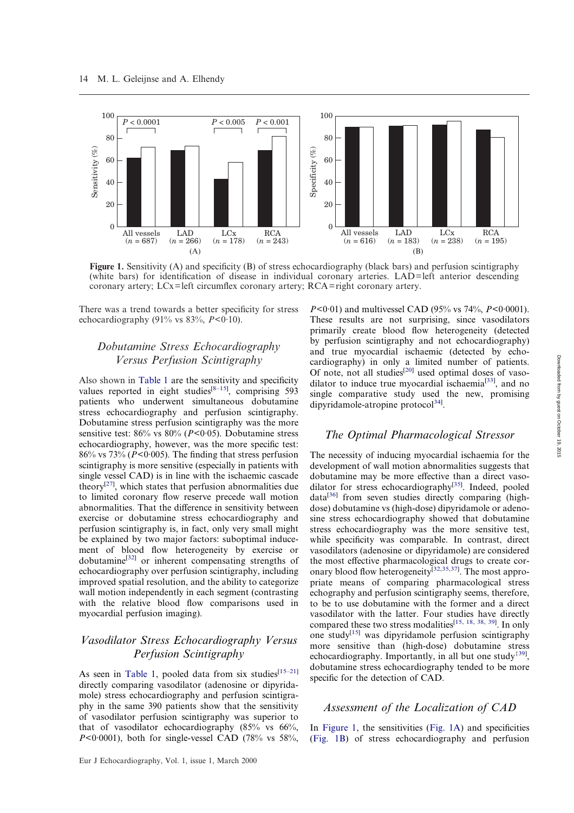<span id="page-2-0"></span>

**Figure 1.** Sensitivity (A) and specificity (B) of stress echocardiography (black bars) and perfusion scintigraphy (white bars) for identification of disease in individual coronary arteries. LAD=left anterior descending coronary artery; LCx=left circumflex coronary artery; RCA=right coronary artery.

There was a trend towards a better specificity for stress echocardiography (91% vs  $83\%$ ,  $P < 0.10$ ).

## *Dobutamine Stress Echocardiography Versus Perfusion Scintigraphy*

Also shown in [Table 1](#page-3-0) are the sensitivity and specificity values reported in eight studies $^{[8-15]}$  $^{[8-15]}$  $^{[8-15]}$ , comprising 593 patients who underwent simultaneous dobutamine stress echocardiography and perfusion scintigraphy. Dobutamine stress perfusion scintigraphy was the more sensitive test: 86% vs 80% (*P*<0·05). Dobutamine stress echocardiography, however, was the more specific test: 86% vs 73% (*P*<0·005). The finding that stress perfusion scintigraphy is more sensitive (especially in patients with single vessel CAD) is in line with the ischaemic cascade theory<sup>[\[27\]](#page-7-2)</sup>, which states that perfusion abnormalities due to limited coronary flow reserve precede wall motion abnormalities. That the difference in sensitivity between exercise or dobutamine stress echocardiography and perfusion scintigraphy is, in fact, only very small might be explained by two major factors: suboptimal inducement of blood flow heterogeneity by exercise or dobutamine[\[32\]](#page-8-3) or inherent compensating strengths of echocardiography over perfusion scintigraphy, including improved spatial resolution, and the ability to categorize wall motion independently in each segment (contrasting with the relative blood flow comparisons used in myocardial perfusion imaging).

## *Vasodilator Stress Echocardiography Versus Perfusion Scintigraphy*

As seen in [Table 1,](#page-3-0) pooled data from six studies<sup>[\[15](#page-7-5)-21]</sup> directly comparing vasodilator (adenosine or dipyridamole) stress echocardiography and perfusion scintigraphy in the same 390 patients show that the sensitivity of vasodilator perfusion scintigraphy was superior to that of vasodilator echocardiography  $(85\% \text{ vs } 66\%),$ *P*<0·0001), both for single-vessel CAD (78% vs 58%, *P*<0·01) and multivessel CAD (95% vs 74%, *P*<0·0001). These results are not surprising, since vasodilators primarily create blood flow heterogeneity (detected by perfusion scintigraphy and not echocardiography) and true myocardial ischaemic (detected by echocardiography) in only a limited number of patients. Of note, not all studies<sup>[\[20\]](#page-7-7)</sup> used optimal doses of vaso-dilator to induce true myocardial ischaemia<sup>[\[33\]](#page-8-4)</sup>, and no single comparative study used the new, promising dipyridamole-atropine protocol<sup>[34\]](#page-8-5)</sup>.

#### *The Optimal Pharmacological Stressor*

The necessity of inducing myocardial ischaemia for the development of wall motion abnormalities suggests that dobutamine may be more effective than a direct vaso-dilator for stress echocardiography<sup>[\[35\]](#page-8-6)</sup>. Indeed, pooled  $data^{[36]}$  $data^{[36]}$  $data^{[36]}$  from seven studies directly comparing (highdose) dobutamine vs (high-dose) dipyridamole or adenosine stress echocardiography showed that dobutamine stress echocardiography was the more sensitive test, while specificity was comparable. In contrast, direct vasodilators (adenosine or dipyridamole) are considered the most effective pharmacological drugs to create cor-onary blood flow heterogeneity<sup>[\[32](#page-8-3)[,35](#page-8-6)[,37\]](#page-8-8)</sup>. The most appropriate means of comparing pharmacological stress echography and perfusion scintigraphy seems, therefore, to be to use dobutamine with the former and a direct vasodilator with the latter. Four studies have directly compared these two stress modalities<sup>[\[15,](#page-7-5) [18,](#page-7-8) [38,](#page-8-9) [39\]](#page-8-10)</sup>. In only one study<sup>[\[15\]](#page-7-5)</sup> was dipyridamole perfusion scintigraphy more sensitive than (high-dose) dobutamine stress echocardiography. Importantly, in all but one study<sup>[{39\]](#page-8-10)</sup>, dobutamine stress echocardiography tended to be more specific for the detection of CAD.

#### *Assessment of the Localization of CAD*

In [Figure 1,](#page-2-0) the sensitivities [\(Fig. 1A\)](#page-2-0) and specificities [\(Fig. 1B\)](#page-2-0) of stress echocardiography and perfusion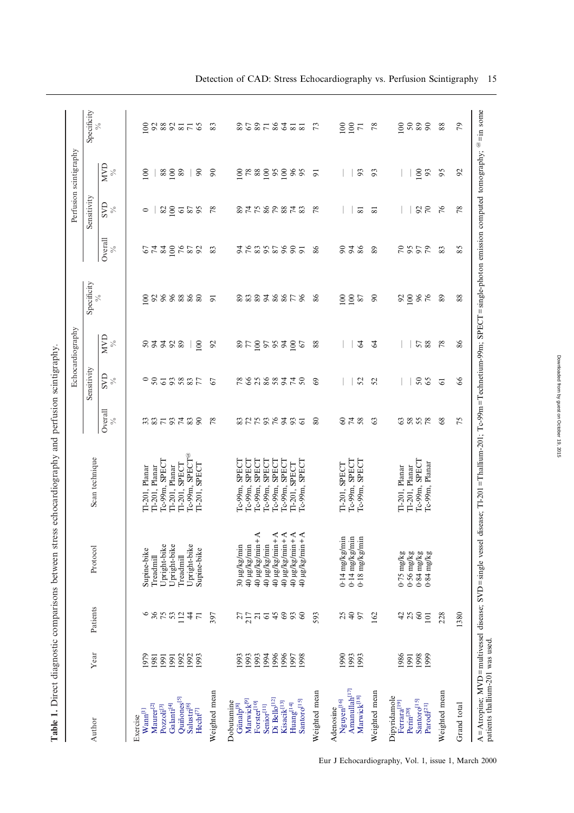<span id="page-3-0"></span>

|                                                                 |              |                   |                                                                                                                                                                                                                                                                                                                                                                           |                                             |                          |                                       | Echocardiography |                |                                       |                    | Perfusion scintigraphy                    |                 |
|-----------------------------------------------------------------|--------------|-------------------|---------------------------------------------------------------------------------------------------------------------------------------------------------------------------------------------------------------------------------------------------------------------------------------------------------------------------------------------------------------------------|---------------------------------------------|--------------------------|---------------------------------------|------------------|----------------|---------------------------------------|--------------------|-------------------------------------------|-----------------|
| Author                                                          | Year         | Patients          | Protocol                                                                                                                                                                                                                                                                                                                                                                  | Scan technique                              |                          | Sensitivity                           |                  | Specificity    |                                       | Sensitivity        |                                           | Specificity     |
|                                                                 |              |                   |                                                                                                                                                                                                                                                                                                                                                                           |                                             | Overall<br>$\frac{5}{6}$ | $\mathop{\mathrm{SVD}}_{\mathop{\%}}$ | $\sum_{\%}$      | $\%$           | Overall<br>$\mathcal{S}_{\mathbf{0}}$ | <b>GVS</b><br>$\%$ | <b>NND</b><br>$\%$                        | $\%$            |
| $\mathbf{W} \mathbf{ann}^{[1]}$<br>Exercise                     | 1979         | $\circ$           | Supine-bike                                                                                                                                                                                                                                                                                                                                                               | Tl-201, Planar                              |                          | $\circ$                               |                  | $\epsilon$     |                                       | $\circ$            | $\overline{0}$                            | $\epsilon$      |
| Maurer <sup>[2]</sup>                                           | 1981         |                   | Treadmill                                                                                                                                                                                                                                                                                                                                                                 | Il-201, Planar                              |                          |                                       |                  |                | 67                                    |                    |                                           | $\mathfrak{S}$  |
| Pozzoli <sup>[3]</sup>                                          | 1991         | $\frac{86}{7531}$ | Upright-bike                                                                                                                                                                                                                                                                                                                                                              | Ic-99m, SPECT                               |                          | 50                                    | 8338             |                |                                       |                    | $88\,$                                    |                 |
| $\mathbf{Galant}^{[4]}$                                         | 1991         |                   | Upright-bike                                                                                                                                                                                                                                                                                                                                                              | Il-201, Planar                              |                          |                                       |                  |                |                                       |                    | 100                                       |                 |
| Quiñones <sup>[5]</sup>                                         | 1992         |                   | Treadmill                                                                                                                                                                                                                                                                                                                                                                 | T1-201, SPECT                               |                          |                                       |                  |                |                                       |                    | $\,89$                                    |                 |
| Salustri <sup>[6]</sup><br>$Hecht^{[7]}$                        | 1992<br>1993 | 47                | Upright-bike<br>Supine-bike                                                                                                                                                                                                                                                                                                                                               | Ic-99m, SPECT <sup>@</sup><br>T1-201, SPECT | R878788                  | 58357                                 | 100              | 288888         | 38552                                 | $28 - 52$          | 90                                        | 82276           |
| Weighted mean                                                   |              | 397               |                                                                                                                                                                                                                                                                                                                                                                           |                                             | $\frac{8}{2}$            | 67                                    | $\mathfrak{S}$   | $\overline{5}$ | 83                                    | $\frac{8}{2}$      | $\mathfrak{g}$                            | 83              |
| Dobutamine<br>Günalp<br>$\mathbb{S}^1$                          | 1993         |                   | 30 µg/kg/min                                                                                                                                                                                                                                                                                                                                                              | <b>SPECT</b><br>Tc-99m,                     |                          |                                       |                  |                |                                       |                    | $\approx$                                 |                 |
| Marwick <sup>[9]</sup>                                          | 1993         |                   | a0 µg/kg/min                                                                                                                                                                                                                                                                                                                                                              | <b>SPECT</b><br>Tc-99m,                     |                          |                                       |                  |                |                                       |                    |                                           |                 |
| Forster <sup>[10]</sup><br>Senior <sup>[11]</sup>               | 1993<br>1994 | $\frac{27}{217}$  | $40 \mu g/kg/min + A$                                                                                                                                                                                                                                                                                                                                                     | Tc-99m, SPECT<br><b>SPECT</b><br>Tc-99m,    |                          |                                       |                  |                |                                       |                    | $\overset{\tt \otimes}{{\tt \mathbb{R}}}$ |                 |
| Di Bello <sup>[12]</sup>                                        | 1996         | 45                | $40 \mu g/kg/min + A$<br>$40 \mu g/kg/min$                                                                                                                                                                                                                                                                                                                                | Tc-99m, SPECT                               |                          |                                       |                  |                |                                       |                    |                                           |                 |
| Kisacik <sup>[13]</sup>                                         | 1996         | $69\,$            | $40 \mu g/kg/min + A$                                                                                                                                                                                                                                                                                                                                                     | Tc-99m, SPECT                               |                          |                                       |                  |                | 2222525                               |                    | $\frac{95}{100}$                          |                 |
| Santoro <sup>[15]</sup><br>$\rm{Huang}^{[14]}$                  | 1997<br>1998 | $\frac{3}{60}$    | $40 \mu g$ /kg/min+A<br>$40 \mu g/kg/min + A$                                                                                                                                                                                                                                                                                                                             | Tc-99m, SPECT<br>T1-201, SPECT              | $%$                      | E SA SA FR                            | 3878222          | 22222222       | $\overline{5}$                        | 2789372            | 96<br>95                                  | 25272727        |
| Weighted mean                                                   |              | 593               |                                                                                                                                                                                                                                                                                                                                                                           |                                             | 80                       | 69                                    | 88               | 86             | 86                                    | $\sqrt{8}$         | $\overline{5}$                            | 73              |
| Nguyen[16]<br>Adenosine                                         | 1990         |                   | $0.14$ mg/kg/min                                                                                                                                                                                                                                                                                                                                                          | T1-201, SPECT                               |                          |                                       |                  |                |                                       |                    |                                           | $rac{80}{100}$  |
| Amanullah <sup>[17]</sup><br>Marwick[18]                        | 1993<br>1993 | 250               | $0.14$ mg/kg/min<br>$0.18$ mg/kg/min                                                                                                                                                                                                                                                                                                                                      | Tc-99m, SPECT<br>Tc-99m, SPECT              | <b>S 4 2</b>             | 52                                    | 64               | $rac{80}{20}$  | 848                                   | $\overline{81}$    | 93                                        | $\overline{7}1$ |
| Weighted mean                                                   |              | 162               |                                                                                                                                                                                                                                                                                                                                                                           |                                             | $\mathbb{S}$             | 52                                    | $\mathcal{L}$    | $\infty$       | 89                                    | ವ                  | 93                                        | 78              |
| Dipyridamole                                                    |              |                   |                                                                                                                                                                                                                                                                                                                                                                           |                                             |                          |                                       |                  |                |                                       |                    |                                           |                 |
| Ferrara <sup>[19]</sup><br>$\ensuremath{\textrm{Perin}}^{[20]}$ | 1986<br>1991 | 428               | $0.56$ mg/kg<br>$0.75$ mg/kg                                                                                                                                                                                                                                                                                                                                              | Tl-201, Planar<br>Tl-201, Planar            | 3858                     |                                       |                  | 8888           | <b>2252</b>                           |                    |                                           | 5888            |
| Santoro <sup>[15]</sup>                                         | 1998         |                   |                                                                                                                                                                                                                                                                                                                                                                           | Tc-99m, SPECT                               |                          | $50\,$                                |                  |                |                                       |                    | 100                                       |                 |
| $\mathbf{Parodi}^{[21]}$                                        | 1999         | 10 <sub>1</sub>   | $\frac{1}{3} \frac{1}{2} \frac{3}{10} \frac{1}{6} \frac{1}{10} \frac{1}{10} \frac{1}{10} \frac{1}{10} \frac{1}{10} \frac{1}{10} \frac{1}{10} \frac{1}{10} \frac{1}{10} \frac{1}{10} \frac{1}{10} \frac{1}{10} \frac{1}{10} \frac{1}{10} \frac{1}{10} \frac{1}{10} \frac{1}{10} \frac{1}{10} \frac{1}{10} \frac{1}{10} \frac{1}{10} \frac{1}{10} \frac{1}{10} \frac{1}{10$ | Tc-99m, Planar                              |                          | 65                                    | 57 88            |                |                                       | 28                 | 93                                        |                 |
| Weighted mean                                                   |              | 228               |                                                                                                                                                                                                                                                                                                                                                                           |                                             | 68                       | $\overline{6}$                        | 78               | 89             | 83                                    | 76                 | 95                                        | 88              |
| Grand total                                                     |              | 1380              |                                                                                                                                                                                                                                                                                                                                                                           |                                             | 75                       | 66                                    | 86               | 88             | 85                                    | 78                 | $\mathcal{L}$                             | 79              |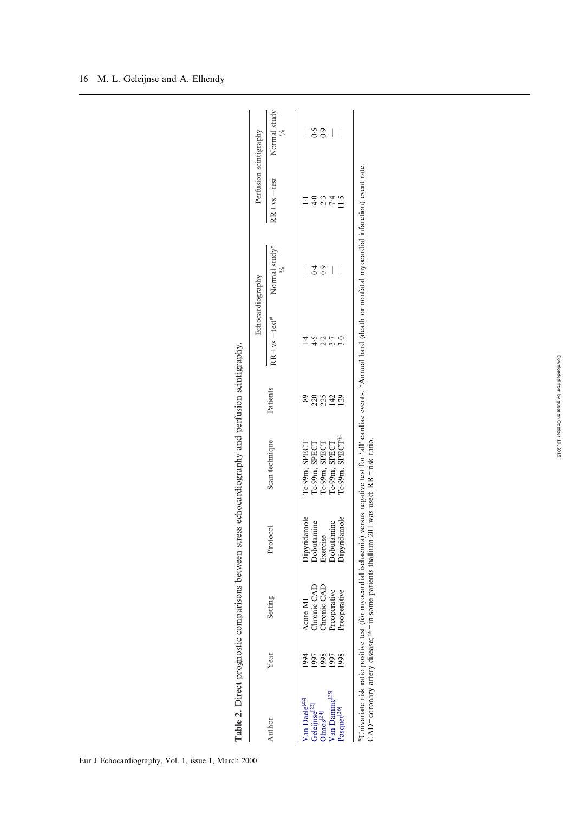<span id="page-4-0"></span>

| i<br>$\frac{1}{2}$<br>ţ<br>ì<br>.<br>.<br>.<br>.<br>֠             |
|-------------------------------------------------------------------|
|                                                                   |
|                                                                   |
| $\ddotsc$<br>$\mathbf{I}$<br>ţ<br>i<br>;<br>j<br>J<br>l<br>i<br>١ |
| i                                                                 |
| :<br>֘֝֬֘                                                         |
| I                                                                 |
| I<br>l<br>l<br>$\vdots$                                           |
| i<br>I<br>$\ddot{\phantom{0}}$                                    |
| ı<br>ł<br>۱<br>$\vdots$<br>$\sqrt{2}$<br>Ì                        |
| i<br>j                                                            |
| ١<br>able<br>F                                                    |

Echocardiography Perfusion scintigraphy

Echocardiography

Perfusion scintigraphy

| Author                              | Year | Setting                                                                                             | οsο<br>Proto                           | Scan technique                                                                                                                                                                   | Patients    | $RR + vs - test$ <sup>#</sup> | Normal study* | $RR + vs - test$            | Normal study |
|-------------------------------------|------|-----------------------------------------------------------------------------------------------------|----------------------------------------|----------------------------------------------------------------------------------------------------------------------------------------------------------------------------------|-------------|-------------------------------|---------------|-----------------------------|--------------|
| Van Daele <sup>[22]</sup>           |      | Acute MI                                                                                            |                                        | $Ic-99m$ , SPECT                                                                                                                                                                 |             |                               |               |                             |              |
| Geleijnse $^{[23]}$ Olmos $^{[24]}$ | 1997 |                                                                                                     | Dipyridamole<br>Dobutamine<br>Exercise |                                                                                                                                                                                  |             |                               | ن ن<br>4      | $\frac{6}{4}$               | 6.6          |
|                                     | 1998 | Chronic CAD<br>Chronic CAD                                                                          |                                        | Tc-99m, SPECT<br>Tc-99m, SPECT<br>Tc-99m, SPECT                                                                                                                                  | 2254<br>225 | 5.2                           |               | $\frac{2}{7}$ $\frac{4}{4}$ | 6.9          |
| Van Damme <sup>[25]</sup>           | 1997 | reoperative                                                                                         | Dobutamine                             |                                                                                                                                                                                  |             |                               |               |                             |              |
| Pasquet <sup>[26]</sup>             | 1998 | reoperative                                                                                         | <b>Dipyridamole</b>                    | Ic-99m, SPECT <sup>@</sup>                                                                                                                                                       |             | s.o                           |               | $\ddot{5}$                  |              |
|                                     |      | CAD=coronary artery disease; $\mathcal{C}$ = in some patients thallium-201 was used; RR=risk ratio. |                                        | Univariate risk ratio positive test (for myocardial ischaemia) versus negative test for 'all' cardiac events. *Annual hard (death or nonfatal myocardial infarction) event rate. |             |                               |               |                             |              |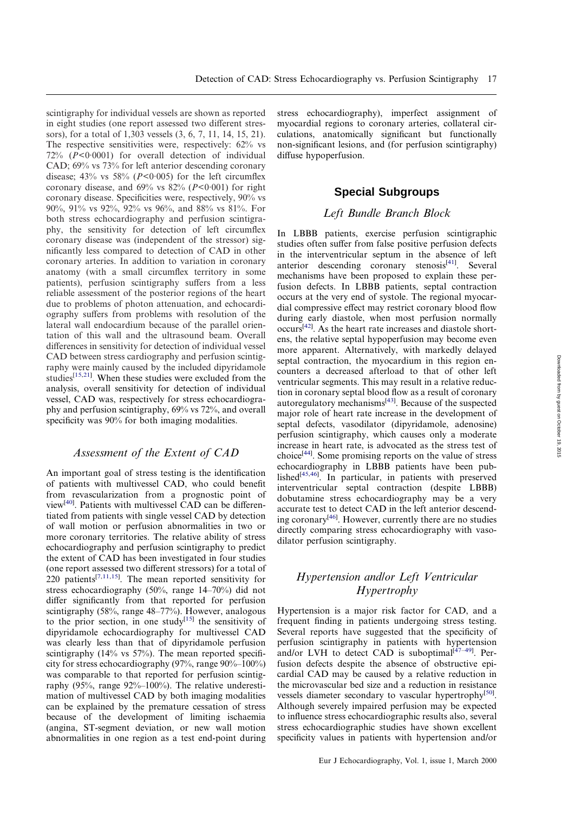scintigraphy for individual vessels are shown as reported in eight studies (one report assessed two different stressors), for a total of 1,303 vessels (3, 6, 7, 11, 14, 15, 21). The respective sensitivities were, respectively: 62% vs 72% (*P*<0·0001) for overall detection of individual CAD; 69% vs 73% for left anterior descending coronary disease; 43% vs 58% (*P*<0·005) for the left circumflex coronary disease, and  $69\%$  vs  $82\%$  ( $P < 0.001$ ) for right coronary disease. Specificities were, respectively, 90% vs 90%, 91% vs 92%, 92% vs 96%, and 88% vs 81%. For both stress echocardiography and perfusion scintigraphy, the sensitivity for detection of left circumflex coronary disease was (independent of the stressor) significantly less compared to detection of CAD in other coronary arteries. In addition to variation in coronary anatomy (with a small circumflex territory in some patients), perfusion scintigraphy suffers from a less reliable assessment of the posterior regions of the heart due to problems of photon attenuation, and echocardiography suffers from problems with resolution of the lateral wall endocardium because of the parallel orientation of this wall and the ultrasound beam. Overall differences in sensitivity for detection of individual vessel CAD between stress cardiography and perfusion scintigraphy were mainly caused by the included dipyridamole studies<sup>[\[15](#page-7-5)[,21\]](#page-7-6)</sup>. When these studies were excluded from the analysis, overall sensitivity for detection of individual vessel, CAD was, respectively for stress echocardiography and perfusion scintigraphy, 69% vs 72%, and overall specificity was 90% for both imaging modalities.

## *Assessment of the Extent of CAD*

An important goal of stress testing is the identification of patients with multivessel CAD, who could benefit from revascularization from a prognostic point of view<sup>[\[40\]](#page-8-11)</sup>. Patients with multivessel CAD can be differentiated from patients with single vessel CAD by detection of wall motion or perfusion abnormalities in two or more coronary territories. The relative ability of stress echocardiography and perfusion scintigraphy to predict the extent of CAD has been investigated in four studies (one report assessed two different stressors) for a total of  $220$  patients<sup>[\[7](#page-7-3)[,11](#page-7-9)[,15\]](#page-7-5)</sup>. The mean reported sensitivity for stress echocardiography (50%, range 14–70%) did not differ significantly from that reported for perfusion scintigraphy (58%, range 48–77%). However, analogous to the prior section, in one study<sup>[\[15\]](#page-7-5)</sup> the sensitivity of dipyridamole echocardiography for multivessel CAD was clearly less than that of dipyridamole perfusion scintigraphy (14% vs 57%). The mean reported specificity for stress echocardiography (97%, range 90%–100%) was comparable to that reported for perfusion scintigraphy (95%, range 92%–100%). The relative underestimation of multivessel CAD by both imaging modalities can be explained by the premature cessation of stress because of the development of limiting ischaemia (angina, ST-segment deviation, or new wall motion abnormalities in one region as a test end-point during

stress echocardiography), imperfect assignment of myocardial regions to coronary arteries, collateral circulations, anatomically significant but functionally non-significant lesions, and (for perfusion scintigraphy) diffuse hypoperfusion.

## **Special Subgroups**

#### *Left Bundle Branch Block*

In LBBB patients, exercise perfusion scintigraphic studies often suffer from false positive perfusion defects in the interventricular septum in the absence of left anterior descending coronary stenosis<sup>[\[41\]](#page-8-12)</sup>. Several mechanisms have been proposed to explain these perfusion defects. In LBBB patients, septal contraction occurs at the very end of systole. The regional myocardial compressive effect may restrict coronary blood flow during early diastole, when most perfusion normally occurs<sup>[\[42\]](#page-8-13)</sup>. As the heart rate increases and diastole shortens, the relative septal hypoperfusion may become even more apparent. Alternatively, with markedly delayed septal contraction, the myocardium in this region encounters a decreased afterload to that of other left ventricular segments. This may result in a relative reduction in coronary septal blood flow as a result of coronary autoregulatory mechanisms<sup>[\[43\]](#page-8-14)</sup>. Because of the suspected major role of heart rate increase in the development of septal defects, vasodilator (dipyridamole, adenosine) perfusion scintigraphy, which causes only a moderate increase in heart rate, is advocated as the stress test of choice<sup>[\[44\]](#page-8-15)</sup>. Some promising reports on the value of stress echocardiography in LBBB patients have been pub-lished<sup>[\[45](#page-8-16)[,46\]](#page-8-17)</sup>. In particular, in patients with preserved interventricular septal contraction (despite LBBB) dobutamine stress echocardiography may be a very accurate test to detect CAD in the left anterior descend-ing coronary<sup>[\[46\]](#page-8-17)</sup>. However, currently there are no studies directly comparing stress echocardiography with vasodilator perfusion scintigraphy.

## *Hypertension and/or Left Ventricular Hypertrophy*

Hypertension is a major risk factor for CAD, and a frequent finding in patients undergoing stress testing. Several reports have suggested that the specificity of perfusion scintigraphy in patients with hypertension and/or LVH to detect CAD is suboptimal $[47-49]$  $[47-49]$ . Perfusion defects despite the absence of obstructive epicardial CAD may be caused by a relative reduction in the microvascular bed size and a reduction in resistance vessels diameter secondary to vascular hypertrophy<sup>[\[50\]](#page-8-20)</sup>. Although severely impaired perfusion may be expected to influence stress echocardiographic results also, several stress echocardiographic studies have shown excellent specificity values in patients with hypertension and/or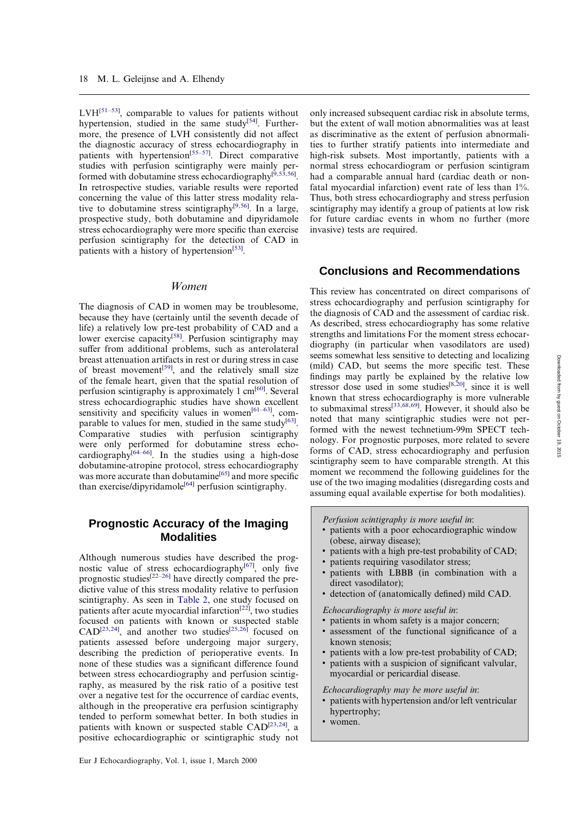$LVH^{[51-53]}$  $LVH^{[51-53]}$  $LVH^{[51-53]}$ , comparable to values for patients without hypertension, studied in the same study<sup>[\[54\]](#page-8-23)</sup>. Furthermore, the presence of LVH consistently did not affect the diagnostic accuracy of stress echocardiography in patients with hypertension<sup>[\[55](#page-8-24)[–57\]](#page-8-25)</sup>. Direct comparative studies with perfusion scintigraphy were mainly per-formed with dobutamine stress echocardiography<sup>[\[9](#page-7-10)[,53](#page-8-22)[,56\]](#page-8-26)</sup>. In retrospective studies, variable results were reported concerning the value of this latter stress modality relative to dobutamine stress scintigraphy[\[9](#page-7-10)[,56\]](#page-8-26) . In a large, prospective study, both dobutamine and dipyridamole stress echocardiography were more specific than exercise perfusion scintigraphy for the detection of CAD in patients with a history of hypertension<sup>[\[53\]](#page-8-22)</sup>.

#### *Women*

The diagnosis of CAD in women may be troublesome, because they have (certainly until the seventh decade of life) a relatively low pre-test probability of CAD and a lower exercise capacity<sup>[\[58\]](#page-8-27)</sup>. Perfusion scintigraphy may suffer from additional problems, such as anterolateral breast attenuation artifacts in rest or during stress in case of breast movement<sup>[\[59\]](#page-8-28)</sup>, and the relatively small size of the female heart, given that the spatial resolution of perfusion scintigraphy is approximately 1 cm<sup>[\[60\]](#page-8-29)</sup>. Several stress echocardiographic studies have shown excellent sensitivity and specificity values in women<sup>[\[61](#page-8-30)-63]</sup>, com-parable to values for men, studied in the same study<sup>[\[63\]](#page-8-31)</sup>. Comparative studies with perfusion scintigraphy were only performed for dobutamine stress echocardiography $\int_{0}^{[64-66]}$  $\int_{0}^{[64-66]}$  $\int_{0}^{[64-66]}$ . In the studies using a high-dose dobutamine-atropine protocol, stress echocardiography was more accurate than dobutamine<sup>[\[65\]](#page-9-1)</sup> and more specific than exercise/dipyridamole<sup>[\[64\]](#page-8-32)</sup> perfusion scintigraphy.

## **Prognostic Accuracy of the Imaging Modalities**

Although numerous studies have described the prog-nostic value of stress echocardiography<sup>[\[67\]](#page-9-2)</sup>, only five prognostic studies<sup>[\[22](#page-7-11)[–26\]](#page-7-1)</sup> have directly compared the predictive value of this stress modality relative to perfusion scintigraphy. As seen in [Table 2,](#page-4-0) one study focused on patients after acute myocardial infarction<sup>[\[22\]](#page-7-11)</sup>, two studies focused on patients with known or suspected stable  $CAD^{[23,24]}$  $CAD^{[23,24]}$  $CAD^{[23,24]}$  $CAD^{[23,24]}$ , and another two studies<sup>[\[25](#page-7-14)[,26\]](#page-7-1)</sup> focused on patients assessed before undergoing major surgery, describing the prediction of perioperative events. In none of these studies was a significant difference found between stress echocardiography and perfusion scintigraphy, as measured by the risk ratio of a positive test over a negative test for the occurrence of cardiac events, although in the preoperative era perfusion scintigraphy tended to perform somewhat better. In both studies in patients with known or suspected stable CAD<sup>[\[23](#page-7-12)[,24\]](#page-7-13)</sup>, a positive echocardiographic or scintigraphic study not

only increased subsequent cardiac risk in absolute terms, but the extent of wall motion abnormalities was at least as discriminative as the extent of perfusion abnormalities to further stratify patients into intermediate and high-risk subsets. Most importantly, patients with a normal stress echocardiogram or perfusion scintigram had a comparable annual hard (cardiac death or nonfatal myocardial infarction) event rate of less than 1%. Thus, both stress echocardiography and stress perfusion scintigraphy may identify a group of patients at low risk for future cardiac events in whom no further (more invasive) tests are required.

## **Conclusions and Recommendations**

This review has concentrated on direct comparisons of stress echocardiography and perfusion scintigraphy for the diagnosis of CAD and the assessment of cardiac risk. As described, stress echocardiography has some relative strengths and limitations For the moment stress echocardiography (in particular when vasodilators are used) seems somewhat less sensitive to detecting and localizing (mild) CAD, but seems the more specific test. These findings may partly be explained by the relative low stressor dose used in some studies<sup>[\[8](#page-7-4)[,20\]](#page-7-7)</sup>, since it is well known that stress echocardiography is more vulnerable to submaximal stress[\[33](#page-8-4)[,68](#page-9-3)[,69\]](#page-9-4) . However, it should also be noted that many scintigraphic studies were not performed with the newest technetium-99m SPECT technology. For prognostic purposes, more related to severe forms of CAD, stress echocardiography and perfusion scintigraphy seem to have comparable strength. At this moment we recommend the following guidelines for the use of the two imaging modalities (disregarding costs and assuming equal available expertise for both modalities).

*Perfusion scintigraphy is more useful in*:

- patients with a poor echocardiographic window (obese, airway disease);
- patients with a high pre-test probability of CAD;
- patients requiring vasodilator stress;
- patients with LBBB (in combination with a direct vasodilator);
- v detection of (anatomically defined) mild CAD.

*Echocardiography is more useful in*:

- patients in whom safety is a major concern;
- v assessment of the functional significance of a known stenosis;
- patients with a low pre-test probability of CAD;
- patients with a suspicion of significant valvular, myocardial or pericardial disease.

*Echocardiography may be more useful in*:

- patients with hypertension and/or left ventricular hypertrophy;
- women.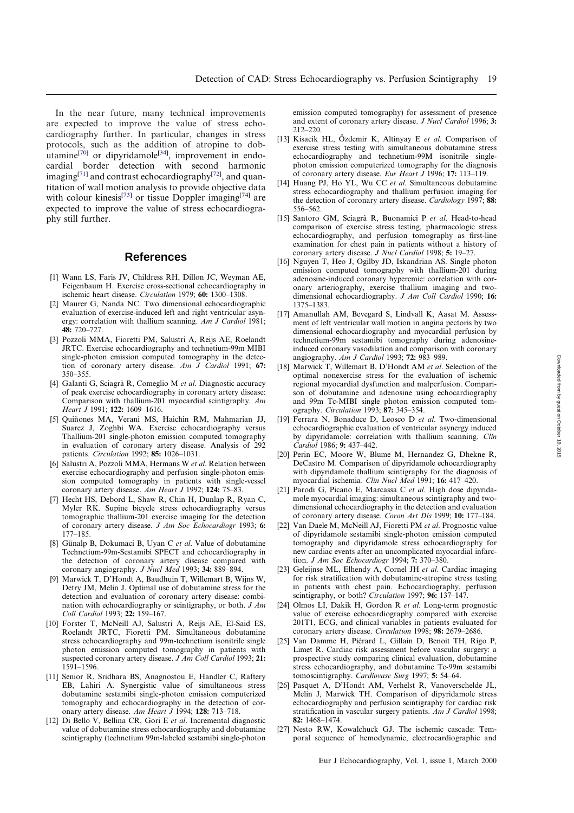In the near future, many technical improvements are expected to improve the value of stress echocardiography further. In particular, changes in stress protocols, such as the addition of atropine to dob-utamine<sup>[\[70\]](#page-9-5)</sup> or dipyridamole<sup>[\[34\]](#page-8-5)</sup>, improvement in endocardial border detection with second harmonic imaging<sup>[\[71\]](#page-9-6)</sup> and contrast echocardiography<sup>[\[72\]](#page-9-7)</sup>, and quantitation of wall motion analysis to provide objective data with colour kinesis<sup>[\[73\]](#page-9-8)</sup> or tissue Doppler imaging<sup>[\[74\]](#page-9-9)</sup> are expected to improve the value of stress echocardiography still further.

#### **References**

- <span id="page-7-0"></span>[1] Wann LS, Faris JV, Childress RH, Dillon JC, Weyman AE, Feigenbaum H. Exercise cross-sectional echocardiography in ischemic heart disease. *Circulation* 1979; **60:** 1300–1308.
- [2] Maurer G, Nanda NC. Two dimensional echocardiographic evaluation of exercise-induced left and right ventricular asynergy: correlation with thallium scanning. *Am J Cardiol* 1981; **48:** 720–727.
- [3] Pozzoli MMA, Fioretti PM, Salustri A, Reijs AE, Roelandt JRTC. Exercise echocardiography and technetium-99m MIBI single-photon emission computed tomography in the detection of coronary artery disease. *Am J Cardiol* 1991; **67:** 350–355.
- [4] Galanti G, Sciagra` R, Comeglio M *et al*. Diagnostic accuracy of peak exercise echocardiography in coronary artery disease: Comparison with thallium-201 myocardial scintigraphy. *Am Heart J* 1991; **122:** 1609–1616.
- [5] Quiñones MA, Verani MS, Haichin RM, Mahmarian JJ, Suarez J, Zoghbi WA. Exercise echocardiography versus Thallium-201 single-photon emission computed tomography in evaluation of coronary artery disease. Analysis of 292 patients. *Circulation* 1992; **85:** 1026–1031.
- [6] Salustri A, Pozzoli MMA, Hermans W *et al*. Relation between exercise echocardiography and perfusion single-photon emission computed tomography in patients with single-vessel coronary artery disease. *Am Heart J* 1992; **124:** 75–83.
- <span id="page-7-3"></span>[7] Hecht HS, Debord L, Shaw R, Chin H, Dunlap R, Ryan C, Myler RK. Supine bicycle stress echocardiography versus tomographic thallium-201 exercise imaging for the detection of coronary artery disease. *J Am Soc Echocardiogr* 1993; **6:** 177–185.
- <span id="page-7-4"></span>[8] Günalp B, Dokumaci B, Uyan C et al. Value of dobutamine Technetium-99m-Sestamibi SPECT and echocardiography in the detection of coronary artery disease compared with coronary angiography. *J Nucl Med* 1993; **34:** 889–894.
- <span id="page-7-10"></span>[9] Marwick T, D'Hondt A, Baudhuin T, Willemart B, Wijns W, Detry JM, Melin J. Optimal use of dobutamine stress for the detection and evaluation of coronary artery disease: combination with echocardiography or scintigraphy, or both. *J Am Coll Cardiol* 1993; **22:** 159–167.
- [10] Forster T, McNeill AJ, Salustri A, Reijs AE, El-Said ES, Roelandt JRTC, Fioretti PM. Simultaneous dobutamine stress echocardiography and 99m-technetium isonitrile single photon emission computed tomography in patients with suspected coronary artery disease. *J Am Coll Cardiol* 1993; **21:** 1591–1596.
- <span id="page-7-9"></span>[11] Senior R, Sridhara BS, Anagnostou E, Handler C, Raftery EB, Lahiri A. Synergistic value of simultaneous stress dobutamine sestamibi single-photon emission computerized tomography and echocardiography in the detection of coronary artery disease. *Am Heart J* 1994; **128:** 713–718.
- [12] Di Bello V, Bellina CR, Gori E *et al*. Incremental diagnostic value of dobutamine stress echocardiography and dobutamine scintigraphy (technetium 99m-labeled sestamibi single-photon

emission computed tomography) for assessment of presence and extent of coronary artery disease. *J Nucl Cardiol* 1996; **3:** 212–220.

- [13] Kisacik HL, Özdemir K, Altinyay E et al. Comparison of exercise stress testing with simultaneous dobutamine stress echocardiography and technetium-99M isonitrile singlephoton emission computerized tomography for the diagnosis of coronary artery disease. *Eur Heart J* 1996; **17:** 113–119.
- [14] Huang PJ, Ho YL, Wu CC *et al*. Simultaneous dobutamine stress echocardiography and thallium perfusion imaging for the detection of coronary artery disease. *Cardiology* 1997; **88:** 556–562.
- <span id="page-7-5"></span>[15] Santoro GM, Sciagra` R, Buonamici P *et al*. Head-to-head comparison of exercise stress testing, pharmacologic stress echocardiography, and perfusion tomography as first-line examination for chest pain in patients without a history of coronary artery disease. *J Nucl Cardiol* 1998; **5:** 19–27.
- [16] Nguyen T, Heo J, Ogilby JD, Iskandrian AS. Single photon emission computed tomography with thallium-201 during adenosine-induced coronary hyperemie: correlation with coronary arteriography, exercise thallium imaging and twodimensional echocardiography. *J Am Coll Cardiol* 1990; **16:** 1375–1383.
- [17] Amanullah AM, Bevegard S, Lindvall K, Aasat M. Assessment of left ventricular wall motion in angina pectoris by two dimensional echocardiography and myocardial perfusion by technetium-99m sestamibi tomography during adenosineinduced coronary vasodilation and comparison with coronary angiography. *Am J Cardiol* 1993; **72:** 983–989.
- <span id="page-7-8"></span>[18] Marwick T, Willemart B, D'Hondt AM *et al*. Selection of the optimal nonexercise stress for the evaluation of ischemic regional myocardial dysfunction and malperfusion. Comparison of dobutamine and adenosine using echocardiography and 99m Tc-MIBI single photon emission computed tomography. *Circulation* 1993; **87:** 345–354.
- [19] Ferrara N, Bonaduce D, Leosco D *et al*. Two-dimensional echocardiographic evaluation of ventricular asynergy induced by dipyridamole: correlation with thallium scanning. *Clin Cardiol* 1986; **9:** 437–442.
- <span id="page-7-7"></span>[20] Perin EC, Moore W, Blume M, Hernandez G, Dhekne R, DeCastro M. Comparison of dipyridamole echocardiography with dipyridamole thallium scintigraphy for the diagnosis of myocardial ischemia. *Clin Nucl Med* 1991; **16:** 417–420.
- <span id="page-7-6"></span>[21] Parodi G, Picano E, Marcassa C *et al*. High dose dipyridamole myocardial imaging: simultaneous scintigraphy and twodimensional echocardiography in the detection and evaluation of coronary artery disease. *Coron Art Dis* 1999; **10:** 177–184.
- <span id="page-7-11"></span>[22] Van Daele M, McNeill AJ, Fioretti PM *et al*. Prognostic value of dipyridamole sestamibi single-photon emission computed tomography and dipyridamole stress echocardiography for new cardiac events after an uncomplicated myocardial infarction. *J Am Soc Echocardiogr* 1994; **7:** 370–380.
- <span id="page-7-12"></span>[23] Geleijnse ML, Elhendy A, Cornel JH *et al*. Cardiac imaging for risk stratification with dobutamine-atropine stress testing in patients with chest pain. Echocardiography, perfusion scintigraphy, or both? *Circulation* 1997; **96:** 137–147.
- <span id="page-7-13"></span>[24] Olmos LI, Dakik H, Gordon R *et al*. Long-term prognostic value of exercise echocardiography compared with exercise 201T1, ECG, and clinical variables in patients evaluated for coronary artery disease. *Circulation* 1998; **98:** 2679–2686.
- <span id="page-7-14"></span>[25] Van Damme H, Piérard L, Gillain D, Benoit TH, Rigo P, Limet R. Cardiac risk assessment before vascular surgery: a prospective study comparing clinical evaluation, dobutamine stress echocardiography, and dobutamine Tc-99m sestamibi tomoscintigraphy. *Cardiovasc Surg* 1997; **5:** 54–64.
- <span id="page-7-1"></span>[26] Pasquet A, D'Hondt AM, Verhelst R, Vanoverschelde JL, Melin J, Marwick TH. Comparison of dipyridamole stress echocardiography and perfusion scintigraphy for cardiac risk stratification in vascular surgery patients. *Am J Cardiol* 1998; **82:** 1468–1474.
- <span id="page-7-2"></span>[27] Nesto RW, Kowalchuck GJ. The ischemic cascade: Temporal sequence of hemodynamic, electrocardiographic and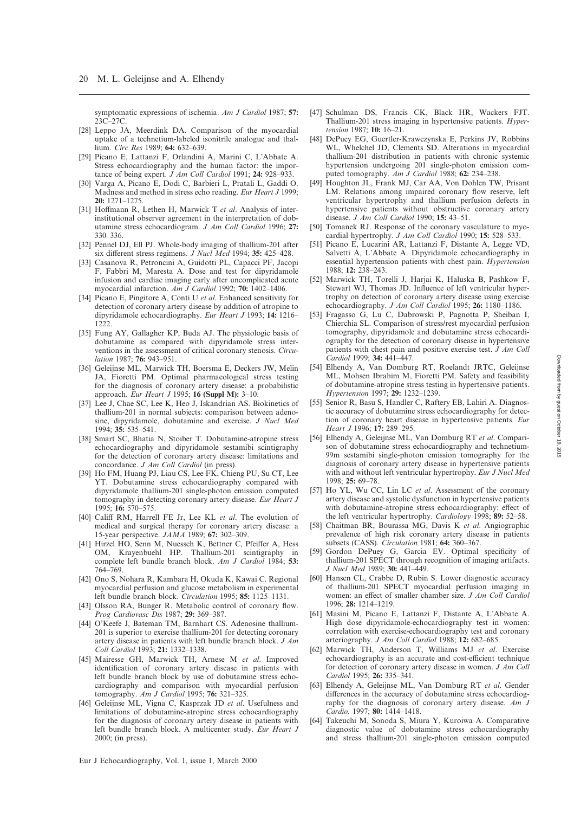symptomatic expressions of ischemia. *Am J Cardiol* 1987; **57:** 23C–27C.

- <span id="page-8-0"></span>[28] Leppo JA, Meerdink DA, Comparison of the myocardial uptake of a technetium-labeled isonitrile analogue and thallium. *Circ Res* 1989; **64:** 632–639.
- <span id="page-8-1"></span>[29] Picano E, Lattanzi F, Orlandini A, Marini C, L'Abbate A. Stress echocardiography and the human factor: the importance of being expert. *J Am Coll Cardiol* 1991; **24:** 928–933.
- [30] Varga A, Picano E, Dodi C, Barbieri L, Pratali L, Gaddi O. Madness and method in stress echo reading. *Eur Heart J* 1999; **20:** 1271–1275.
- <span id="page-8-2"></span>[31] Hoffmann R, Lethen H, Marwick T *et al*. Analysis of interinstitutional observer agreement in the interpretation of dobutamine stress echocardiogram. *J Am Coll Cardiol* 1996; **27:** 330–336.
- <span id="page-8-3"></span>[32] Pennel DJ, Ell PJ. Whole-body imaging of thallium-201 after six different stress regimens. *J Nucl Med* 1994; **35:** 425–428.
- <span id="page-8-4"></span>[33] Casanova R, Petroncini A, Guidotti PL, Capacci PF, Jacopi F, Fabbri M, Maresta A. Dose and test for dipyridamole infusion and cardiac imaging early after uncomplicated acute myocardial infarction. *Am J Cardiol* 1992; **70:** 1402–1406.
- <span id="page-8-5"></span>[34] Picano E, Pingitore A, Conti U *et al*. Enhanced sensitivity for detection of coronary artery disease by addition of atropine to dipyridamole echocardiography. *Eur Heart J* 1993; **14:** 1216– 1222.
- <span id="page-8-6"></span>[35] Fung AY, Gallagher KP, Buda AJ. The physiologic basis of dobutamine as compared with dipyridamole stress interventions in the assessment of critical coronary stenosis. *Circulation* 1987; **76:** 943–951.
- <span id="page-8-7"></span>[36] Geleijnse ML, Marwick TH, Boersma E, Deckers JW, Melin JA, Fioretti PM. Optimal pharmacological stress testing for the diagnosis of coronary artery disease: a probabilistic approach. *Eur Heart J* 1995; **16 (Suppl M):** 3–10.
- <span id="page-8-8"></span>[37] Lee J, Chae SC, Lee K, Heo J, Iskandrian AS. Biokinetics of thallium-201 in normal subjects: comparison between adenosine, dipyridamole, dobutamine and exercise. *J Nucl Med* 1994; **35:** 535–541.
- <span id="page-8-9"></span>[38] Smart SC, Bhatia N, Stoiber T. Dobutamine-atropine stress echocardiography and dipyridamole sestamibi scintigraphy for the detection of coronary artery disease: limitations and concordance. *J Am Coll Cardiol* (in press).
- <span id="page-8-10"></span>[39] Ho FM, Huang PJ, Liau CS, Lee FK, Chieng PU, Su CT, Lee YT. Dobutamine stress echocardiography compared with dipyridamole thallium-201 single-photon emission computed tomography in detecting coronary artery disease. *Eur Heart J* 1995; **16:** 570–575.
- <span id="page-8-11"></span>[40] Califf RM, Harrell FE Jr, Lee KL *et al*. The evolution of medical and surgical therapy for coronary artery disease: a 15-year perspective. *JAMA* 1989; **67:** 302–309.
- <span id="page-8-12"></span>[41] Hirzel HO, Senn M, Nuessch K, Bettner C, Pfeiffer A, Hess OM, Krayenbuehl HP. Thallium-201 scintigraphy in complete left bundle branch block. *Am J Cardiol* 1984; **53:** 764–769.
- <span id="page-8-13"></span>[42] Ono S, Nohara R, Kambara H, Okuda K, Kawai C. Regional myocardial perfusion and glucose metabolism in experimental left bundle branch block. *Circulation* 1995; **85:** 1125–1131.
- <span id="page-8-14"></span>[43] Olsson RA, Bunger R. Metabolic control of coronary flow. *Prog Cardiovasc Dis* 1987; **29:** 369–387.
- <span id="page-8-15"></span>[44] O'Keefe J, Bateman TM, Barnhart CS. Adenosine thallium-201 is superior to exercise thallium-201 for detecting coronary artery disease in patients with left bundle branch block. *J Am Coll Cardiol* 1993; **21:** 1332–1338.
- <span id="page-8-16"></span>[45] Mairesse GH, Marwick TH, Arnese M *et al*. Improved identification of coronary artery disease in patients with left bundle branch block by use of dobutamine stress echocardiography and comparison with myocardial perfusion tomography. *Am J Cardiol* 1995; **76:** 321–325.
- <span id="page-8-17"></span>[46] Geleijnse ML, Vigna C, Kasprzak JD *et al*. Usefulness and limitations of dobutamine-atropine stress echocardiography for the diagnosis of coronary artery disease in patients with left bundle branch block. A multicenter study. *Eur Heart J* 2000; (in press).
- <span id="page-8-18"></span>[47] Schulman DS, Francis CK, Black HR, Wackers FJT. Thallium-201 stress imaging in hypertensive patients. *Hypertension* 1987; **10:** 16–21.
- [48] DePuey EG, Guertler-Krawczynska E, Perkins JV, Robbins WL, Whelchel JD, Clements SD. Alterations in myocardial thallium-201 distribution in patients with chronic systemic hypertension undergoing 201 single-photon emission computed tomography. *Am J Cardiol* 1988; **62:** 234–238.
- <span id="page-8-19"></span>[49] Houghton JL, Frank MJ, Car AA, Von Dohlen TW, Prisant LM. Relations among impaired coronary flow reserve, left ventricular hypertrophy and thallium perfusion defects in hypertensive patients without obstructive coronary artery disease. *J Am Coll Cardiol* 1990; **15:** 43–51.
- <span id="page-8-20"></span>[50] Tomanek RJ. Response of the coronary vasculature to myocardial hypertrophy. *J Am Coll Cardiol* 1990; **15:** 528–533.
- <span id="page-8-21"></span>[51] Picano E, Lucarini AR, Lattanzi F, Distante A, Legge VD, Salvetti A, L'Abbate A. Dipyridamole echocardiography in essential hypertension patients with chest pain. *Hypertension* 1988; **12:** 238–243.
- [52] Marwick TH, Torelli J, Harjai K, Haluska B, Pashkow F, Stewart WJ, Thomas JD. Influence of left ventricular hypertrophy on detection of coronary artery disease using exercise echocardiography. *J Am Coll Cardiol* 1995; **26:** 1180–1186.
- <span id="page-8-22"></span>[53] Fragasso G, Lu C, Dabrowski P, Pagnotta P, Sheiban I, Chierchia SL. Comparison of stress/rest myocardial perfusion tomography, dipyridamole and dobutamine stress echocardiography for the detection of coronary disease in hypertensive patients with chest pain and positive exercise test. *J Am Coll Cardiol* 1999; **34:** 441–447.
- <span id="page-8-23"></span>[54] Elhendy A, Van Domburg RT, Roelandt JRTC, Geleijnse ML, Mohsen Ibrahim M, Fioretti PM. Safety and feasibility of dobutamine-atropine stress testing in hypertensive patients. *Hypertension* 1997; **29:** 1232–1239.
- <span id="page-8-24"></span>[55] Senior R, Basu S, Handler C, Raftery EB, Lahiri A. Diagnostic accuracy of dobutamine stress echocardiography for detection of coronary heart disease in hypertensive patients. *Eur Heart J* 1996; **17:** 289–295.
- <span id="page-8-26"></span>[56] Elhendy A, Geleijnse ML, Van Domburg RT *et al*. Comparison of dobutamine stress echocardiography and technetium-99m sestamibi single-photon emission tomography for the diagnosis of coronary artery disease in hypertensive patients with and without left ventricular hypertrophy. *Eur J Nucl Med* 1998; **25:** 69–78.
- <span id="page-8-25"></span>[57] Ho YL, Wu CC, Lin LC *et al*. Assessment of the coronary artery disease and systolic dysfunction in hypertensive patients with dobutamine-atropine stress echocardiography: effect of the left ventricular hypertrophy. *Cardiology* 1998; **89:** 52–58.
- <span id="page-8-27"></span>[58] Chaitman BR, Bourassa MG, Davis K *et al*. Angiographic prevalence of high risk coronary artery disease in patients subsets (CASS). *Circulation* 1981; **64:** 360–367.
- <span id="page-8-28"></span>[59] Gordon DePuey G, Garcia EV. Optimal specificity of thallium-201 SPECT through recognition of imaging artifacts. *J Nucl Med* 1989; **30:** 441–449.
- <span id="page-8-29"></span>[60] Hansen CL, Crabbe D, Rubin S. Lower diagnostic accuracy of thallium-201 SPECT myocardial perfusion imaging in women: an effect of smaller chamber size. *J Am Coll Cardiol* 1996; **28:** 1214–1219.
- <span id="page-8-30"></span>[61] Masini M, Picano E, Lattanzi F, Distante A, L'Abbate A. High dose dipyridamole-echocardiography test in women: correlation with exercise-echocardiography test and coronary arteriography. *J Am Coll Cardiol* 1988; **12:** 682–685.
- [62] Marwick TH, Anderson T, Williams MJ *et al*. Exercise echocardiography is an accurate and cost-efficient technique for detection of coronary artery disease in women. *J Am Coll Cardiol* 1995; **26:** 335–341.
- <span id="page-8-31"></span>[63] Elhendy A, Geleijnse ML, Van Domburg RT *et al*. Gender differences in the accuracy of dobutamine stress echocardiography for the diagnosis of coronary artery disease. *Am J Cardio.* 1997; **80:** 1414–1418.
- <span id="page-8-32"></span>[64] Takeuchi M, Sonoda S, Miura Y, Kuroiwa A. Comparative diagnostic value of dobutamine stress echocardiography and stress thallium-201 single-photon emission computed